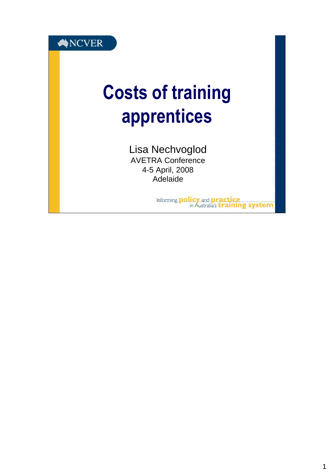

# Costs of training apprentices

Lisa Nechvoglod AVETRA Conference 4-5 April, 2008 Adelaide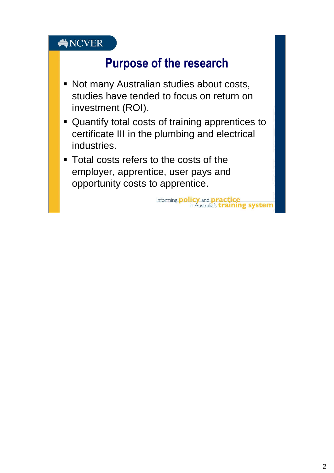## Purpose of the research

- Not many Australian studies about costs, studies have tended to focus on return on investment (ROI).
- Quantify total costs of training apprentices to certificate III in the plumbing and electrical industries.
- **Total costs refers to the costs of the** employer, apprentice, user pays and opportunity costs to apprentice.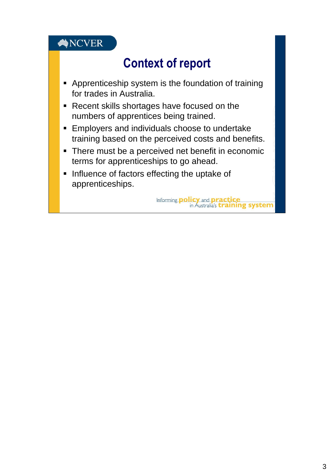# Context of report

- **-** Apprenticeship system is the foundation of training for trades in Australia.
- Recent skills shortages have focused on the numbers of apprentices being trained.
- **Employers and individuals choose to undertake** training based on the perceived costs and benefits.
- There must be a perceived net benefit in economic terms for apprenticeships to go ahead.
- **Influence of factors effecting the uptake of** apprenticeships.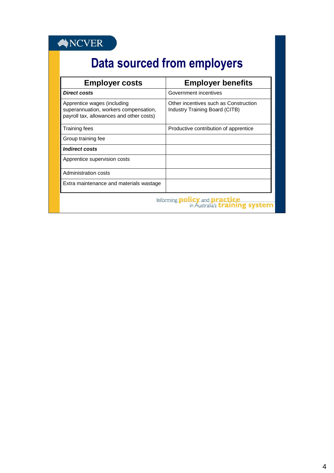# Data sourced from employers

| <b>Employer costs</b>                                                                                            | <b>Employer benefits</b>                                                |
|------------------------------------------------------------------------------------------------------------------|-------------------------------------------------------------------------|
| Direct costs                                                                                                     | Government incentives                                                   |
| Apprentice wages (including<br>superannuation, workers compensation,<br>payroll tax, allowances and other costs) | Other incentives such as Construction<br>Industry Training Board (CITB) |
| Training fees                                                                                                    | Productive contribution of apprentice                                   |
| Group training fee                                                                                               |                                                                         |
| <b>Indirect costs</b>                                                                                            |                                                                         |
| Apprentice supervision costs                                                                                     |                                                                         |
| Administration costs                                                                                             |                                                                         |
| Extra maintenance and materials wastage                                                                          |                                                                         |
| Informing <b>policy</b> and <b>practice</b><br>in Australia's <i>training</i>                                    |                                                                         |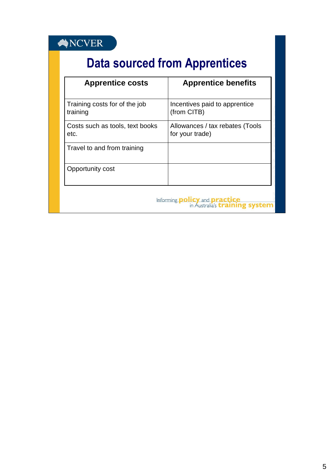### $\bigotimes \text{NCVER}$

# Data sourced from Apprentices

| <b>Apprentice costs</b>                       | <b>Apprentice benefits</b>                         |
|-----------------------------------------------|----------------------------------------------------|
| Training costs for of the job<br>training     | Incentives paid to apprentice<br>(from CITB)       |
| Costs such as tools, text books<br>etc.       | Allowances / tax rebates (Tools<br>for your trade) |
| Travel to and from training                   |                                                    |
| Opportunity cost                              |                                                    |
| Informing <b>p</b><br><b>ICV</b> and <b>D</b> |                                                    |

in Australia's *training system*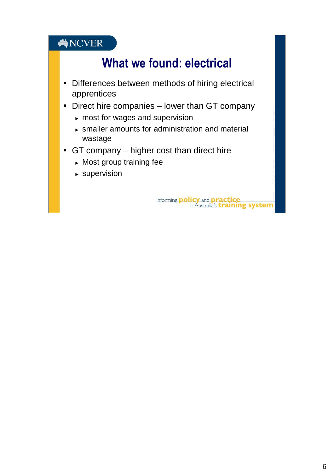# What we found: electrical

- **-** Differences between methods of hiring electrical apprentices
- **-** Direct hire companies lower than GT company
	- ► most for wages and supervision
	- ► smaller amounts for administration and material wastage
- GT company higher cost than direct hire
	- ► Most group training fee
	- ► supervision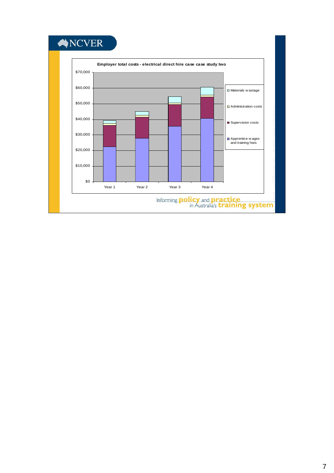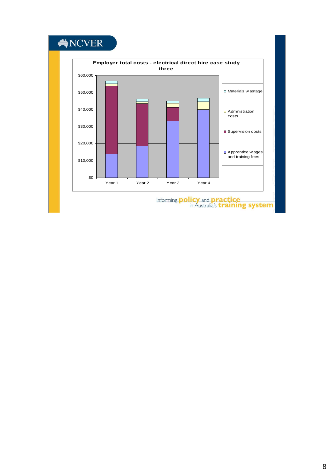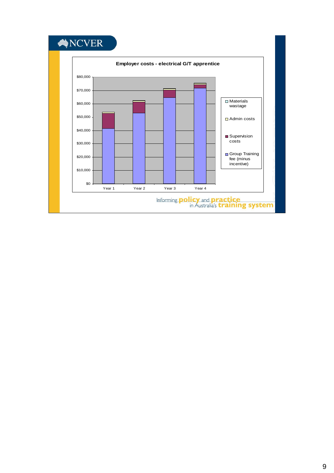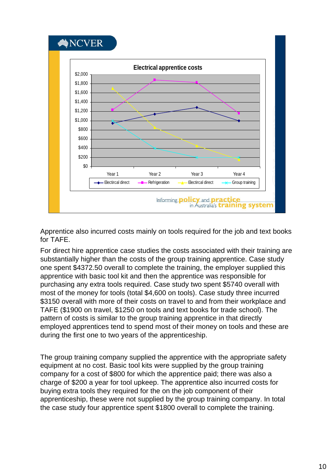

Apprentice also incurred costs mainly on tools required for the job and text books for TAFE.

For direct hire apprentice case studies the costs associated with their training are substantially higher than the costs of the group training apprentice. Case study one spent \$4372.50 overall to complete the training, the employer supplied this apprentice with basic tool kit and then the apprentice was responsible for purchasing any extra tools required. Case study two spent \$5740 overall with most of the money for tools (total \$4,600 on tools). Case study three incurred \$3150 overall with more of their costs on travel to and from their workplace and TAFE (\$1900 on travel, \$1250 on tools and text books for trade school). The pattern of costs is similar to the group training apprentice in that directly employed apprentices tend to spend most of their money on tools and these are during the first one to two years of the apprenticeship.

The group training company supplied the apprentice with the appropriate safety equipment at no cost. Basic tool kits were supplied by the group training company for a cost of \$800 for which the apprentice paid; there was also a charge of \$200 a year for tool upkeep. The apprentice also incurred costs for buying extra tools they required for the on the job component of their apprenticeship, these were not supplied by the group training company. In total the case study four apprentice spent \$1800 overall to complete the training.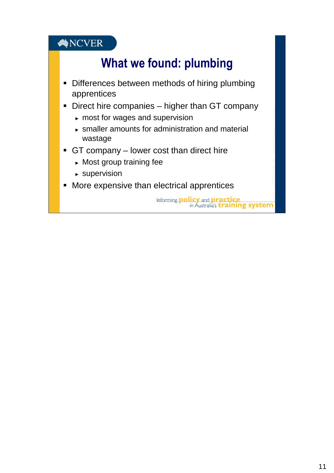# What we found: plumbing

- **-** Differences between methods of hiring plumbing apprentices
- **Direct hire companies higher than GT company** 
	- ► most for wages and supervision
	- ► smaller amounts for administration and material wastage
- GT company lower cost than direct hire
	- ► Most group training fee
	- ► supervision
- **More expensive than electrical apprentices**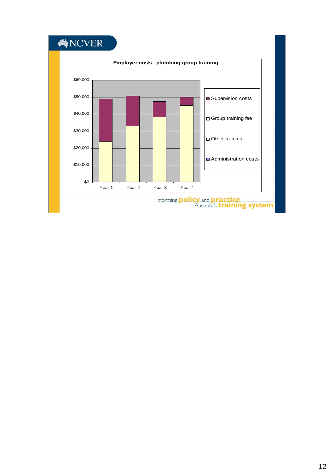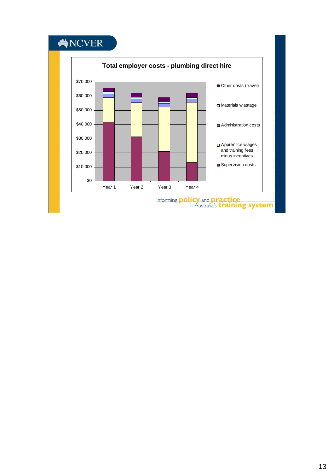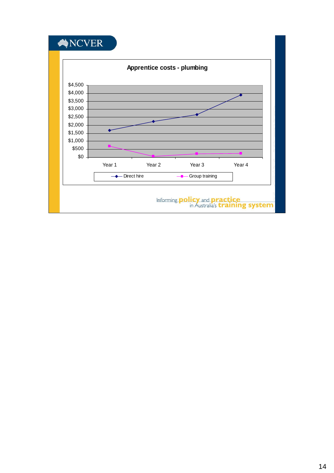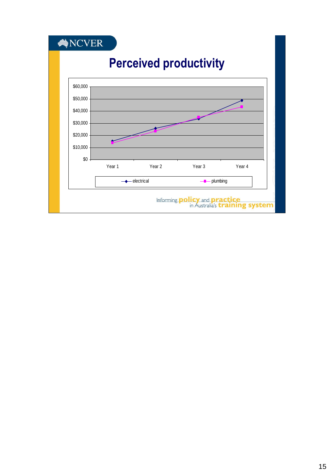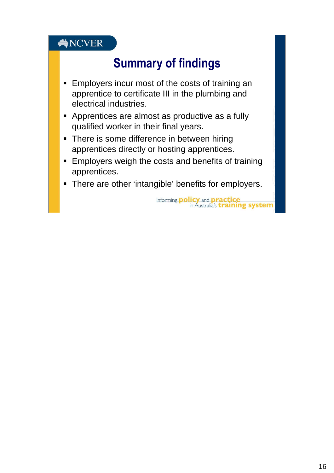# Summary of findings

- **Employers incur most of the costs of training an** apprentice to certificate III in the plumbing and electrical industries.
- Apprentices are almost as productive as a fully qualified worker in their final years.
- There is some difference in between hiring apprentices directly or hosting apprentices.
- **Employers weigh the costs and benefits of training** apprentices.
- There are other 'intangible' benefits for employers.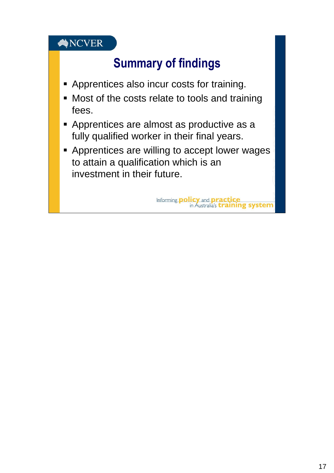# Summary of findings

- **Apprentices also incur costs for training.**
- Most of the costs relate to tools and training fees.
- **Apprentices are almost as productive as a** fully qualified worker in their final years.
- **-** Apprentices are willing to accept lower wages to attain a qualification which is an investment in their future.